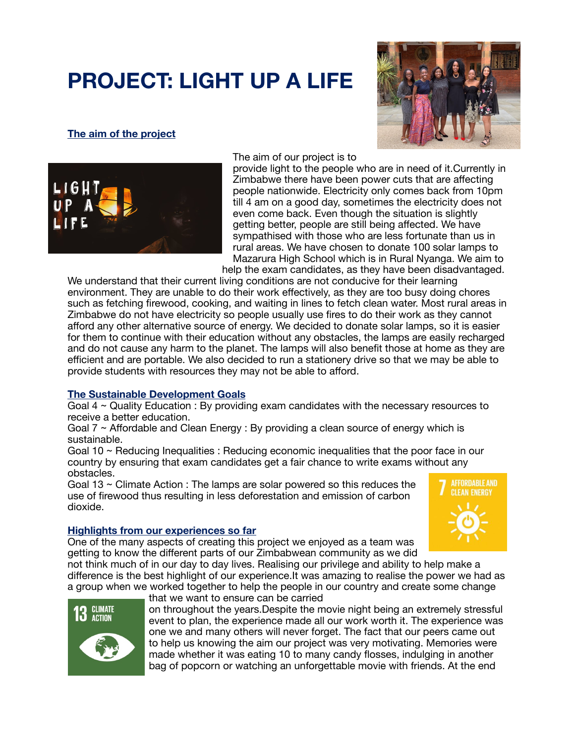# **PROJECT: LIGHT UP A LIFE**

# **The aim of the project**





The aim of our project is to

provide light to the people who are in need of it.Currently in Zimbabwe there have been power cuts that are affecting people nationwide. Electricity only comes back from 10pm till 4 am on a good day, sometimes the electricity does not even come back. Even though the situation is slightly getting better, people are still being affected. We have sympathised with those who are less fortunate than us in rural areas. We have chosen to donate 100 solar lamps to Mazarura High School which is in Rural Nyanga. We aim to help the exam candidates, as they have been disadvantaged.

We understand that their current living conditions are not conducive for their learning environment. They are unable to do their work effectively, as they are too busy doing chores such as fetching firewood, cooking, and waiting in lines to fetch clean water. Most rural areas in Zimbabwe do not have electricity so people usually use fires to do their work as they cannot afford any other alternative source of energy. We decided to donate solar lamps, so it is easier for them to continue with their education without any obstacles, the lamps are easily recharged and do not cause any harm to the planet. The lamps will also benefit those at home as they are efficient and are portable. We also decided to run a stationery drive so that we may be able to provide students with resources they may not be able to afford.

## **The Sustainable Development Goals**

Goal 4 ~ Quality Education : By providing exam candidates with the necessary resources to receive a better education.

Goal 7 ~ Affordable and Clean Energy : By providing a clean source of energy which is sustainable.

Goal 10 ~ Reducing Inequalities : Reducing economic inequalities that the poor face in our country by ensuring that exam candidates get a fair chance to write exams without any obstacles.

Goal 13 ~ Climate Action : The lamps are solar powered so this reduces the use of firewood thus resulting in less deforestation and emission of carbon dioxide.



#### **Highlights from our experiences so far**

One of the many aspects of creating this project we enjoyed as a team was getting to know the different parts of our Zimbabwean community as we did

not think much of in our day to day lives. Realising our privilege and ability to help make a difference is the best highlight of our experience.It was amazing to realise the power we had as a group when we worked together to help the people in our country and create some change that we want to ensure can be carried



on throughout the years.Despite the movie night being an extremely stressful event to plan, the experience made all our work worth it. The experience was one we and many others will never forget. The fact that our peers came out to help us knowing the aim our project was very motivating. Memories were made whether it was eating 10 to many candy flosses, indulging in another bag of popcorn or watching an unforgettable movie with friends. At the end